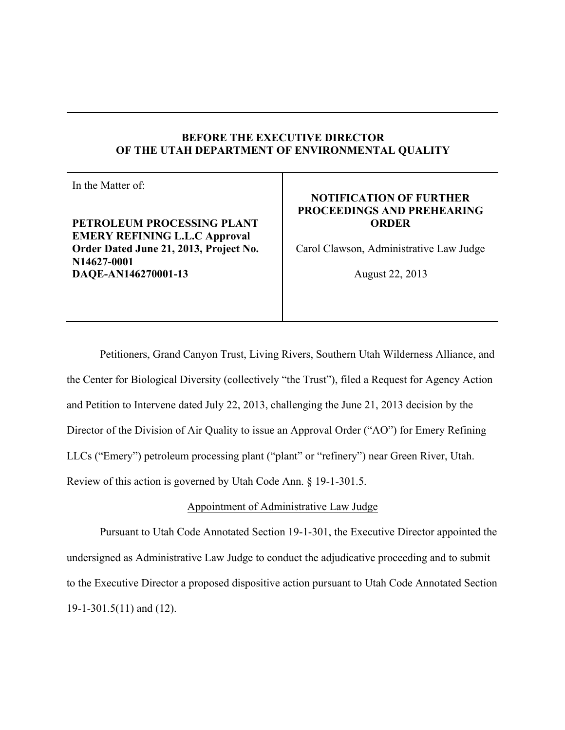## **BEFORE THE EXECUTIVE DIRECTOR OF THE UTAH DEPARTMENT OF ENVIRONMENTAL QUALITY**

In the Matter of:

**PETROLEUM PROCESSING PLANT EMERY REFINING L.L.C Approval Order Dated June 21, 2013, Project No. N14627-0001 DAQE-AN146270001-13**

## **NOTIFICATION OF FURTHER PROCEEDINGS AND PREHEARING ORDER**

Carol Clawson, Administrative Law Judge

August 22, 2013

Petitioners, Grand Canyon Trust, Living Rivers, Southern Utah Wilderness Alliance, and the Center for Biological Diversity (collectively "the Trust"), filed a Request for Agency Action and Petition to Intervene dated July 22, 2013, challenging the June 21, 2013 decision by the Director of the Division of Air Quality to issue an Approval Order ("AO") for Emery Refining LLCs ("Emery") petroleum processing plant ("plant" or "refinery") near Green River, Utah. Review of this action is governed by Utah Code Ann. § 19-1-301.5.

# Appointment of Administrative Law Judge

Pursuant to Utah Code Annotated Section 19-1-301, the Executive Director appointed the undersigned as Administrative Law Judge to conduct the adjudicative proceeding and to submit to the Executive Director a proposed dispositive action pursuant to Utah Code Annotated Section 19-1-301.5(11) and (12).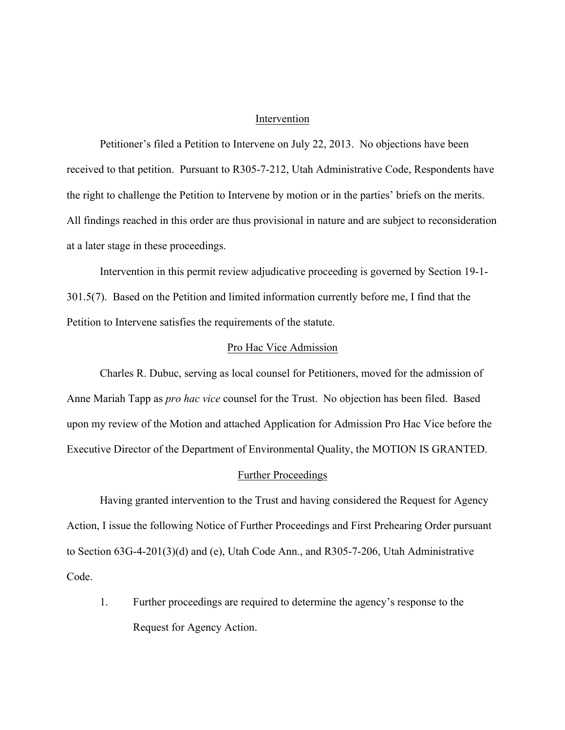#### Intervention

Petitioner's filed a Petition to Intervene on July 22, 2013. No objections have been received to that petition. Pursuant to R305-7-212, Utah Administrative Code, Respondents have the right to challenge the Petition to Intervene by motion or in the parties' briefs on the merits. All findings reached in this order are thus provisional in nature and are subject to reconsideration at a later stage in these proceedings.

Intervention in this permit review adjudicative proceeding is governed by Section 19-1- 301.5(7). Based on the Petition and limited information currently before me, I find that the Petition to Intervene satisfies the requirements of the statute.

### Pro Hac Vice Admission

Charles R. Dubuc, serving as local counsel for Petitioners, moved for the admission of Anne Mariah Tapp as *pro hac vice* counsel for the Trust. No objection has been filed. Based upon my review of the Motion and attached Application for Admission Pro Hac Vice before the Executive Director of the Department of Environmental Quality, the MOTION IS GRANTED.

#### Further Proceedings

Having granted intervention to the Trust and having considered the Request for Agency Action, I issue the following Notice of Further Proceedings and First Prehearing Order pursuant to Section 63G-4-201(3)(d) and (e), Utah Code Ann., and R305-7-206, Utah Administrative Code.

1. Further proceedings are required to determine the agency's response to the Request for Agency Action.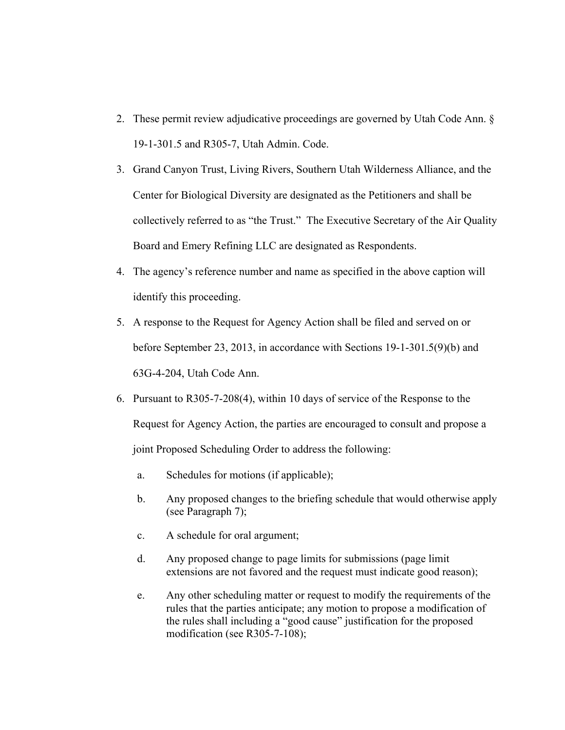- 2. These permit review adjudicative proceedings are governed by Utah Code Ann. § 19-1-301.5 and R305-7, Utah Admin. Code.
- 3. Grand Canyon Trust, Living Rivers, Southern Utah Wilderness Alliance, and the Center for Biological Diversity are designated as the Petitioners and shall be collectively referred to as "the Trust." The Executive Secretary of the Air Quality Board and Emery Refining LLC are designated as Respondents.
- 4. The agency's reference number and name as specified in the above caption will identify this proceeding.
- 5. A response to the Request for Agency Action shall be filed and served on or before September 23, 2013, in accordance with Sections 19-1-301.5(9)(b) and 63G-4-204, Utah Code Ann.
- 6. Pursuant to R305-7-208(4), within 10 days of service of the Response to the Request for Agency Action, the parties are encouraged to consult and propose a joint Proposed Scheduling Order to address the following:
	- a. Schedules for motions (if applicable);
	- b. Any proposed changes to the briefing schedule that would otherwise apply (see Paragraph 7);
	- c. A schedule for oral argument;
	- d. Any proposed change to page limits for submissions (page limit extensions are not favored and the request must indicate good reason);
	- e. Any other scheduling matter or request to modify the requirements of the rules that the parties anticipate; any motion to propose a modification of the rules shall including a "good cause" justification for the proposed modification (see R305-7-108);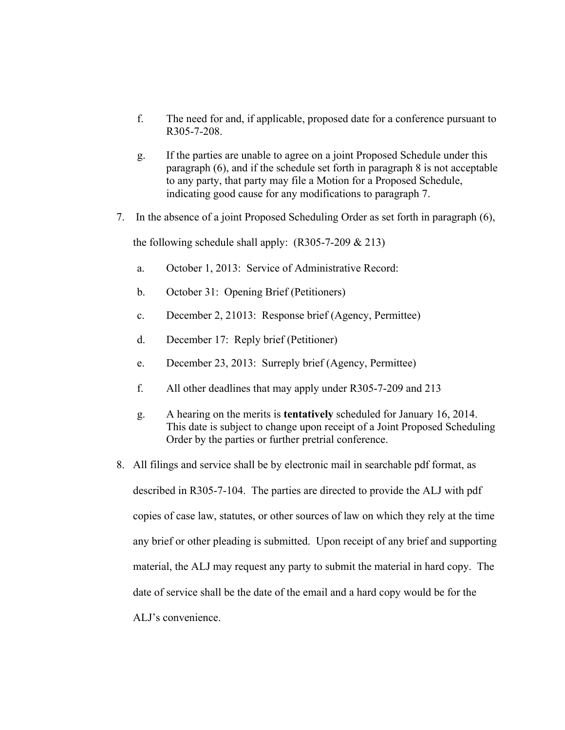- f. The need for and, if applicable, proposed date for a conference pursuant to R305-7-208.
- g. If the parties are unable to agree on a joint Proposed Schedule under this paragraph (6), and if the schedule set forth in paragraph 8 is not acceptable to any party, that party may file a Motion for a Proposed Schedule, indicating good cause for any modifications to paragraph 7.
- 7. In the absence of a joint Proposed Scheduling Order as set forth in paragraph (6),

the following schedule shall apply:  $(R305-7-209 \& 213)$ 

- a. October 1, 2013: Service of Administrative Record:
- b. October 31: Opening Brief (Petitioners)
- c. December 2, 21013: Response brief (Agency, Permittee)
- d. December 17: Reply brief (Petitioner)
- e. December 23, 2013: Surreply brief (Agency, Permittee)
- f. All other deadlines that may apply under R305-7-209 and 213
- g. A hearing on the merits is **tentatively** scheduled for January 16, 2014. This date is subject to change upon receipt of a Joint Proposed Scheduling Order by the parties or further pretrial conference.
- 8. All filings and service shall be by electronic mail in searchable pdf format, as described in R305-7-104. The parties are directed to provide the ALJ with pdf copies of case law, statutes, or other sources of law on which they rely at the time any brief or other pleading is submitted. Upon receipt of any brief and supporting material, the ALJ may request any party to submit the material in hard copy. The date of service shall be the date of the email and a hard copy would be for the ALJ's convenience.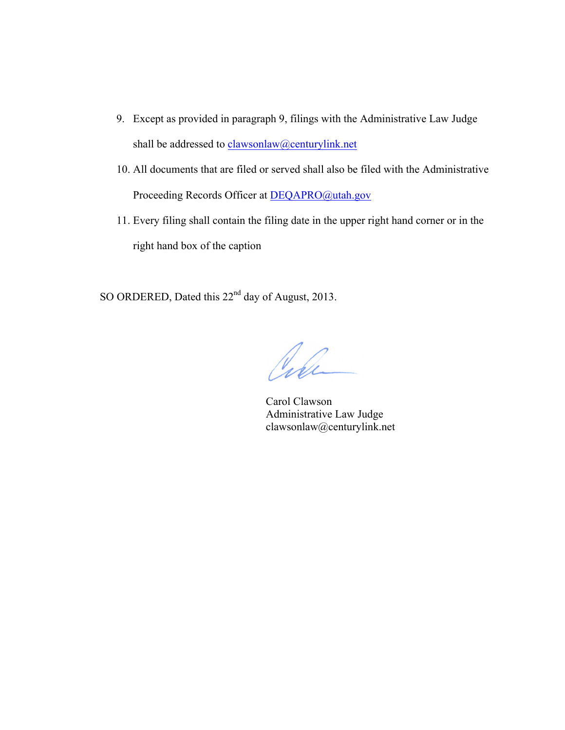- 9. Except as provided in paragraph 9, filings with the Administrative Law Judge shall be addressed to clawsonlaw@centurylink.net
- 10. All documents that are filed or served shall also be filed with the Administrative Proceeding Records Officer at DEQAPRO@utah.gov
- 11. Every filing shall contain the filing date in the upper right hand corner or in the right hand box of the caption

SO ORDERED, Dated this 22<sup>nd</sup> day of August, 2013.

Cile

Carol Clawson Administrative Law Judge clawsonlaw@centurylink.net